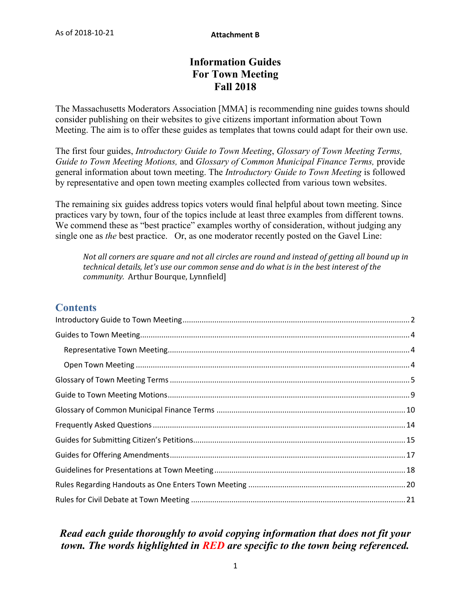# **Information Guides For Town Meeting Fall 2018**

The Massachusetts Moderators Association [MMA] is recommending nine guides towns should consider publishing on their websites to give citizens important information about Town Meeting. The aim is to offer these guides as templates that towns could adapt for their own use.

The first four guides, *Introductory Guide to Town Meeting*, *Glossary of Town Meeting Terms, Guide to Town Meeting Motions,* and *Glossary of Common Municipal Finance Terms,* provide general information about town meeting. The *Introductory Guide to Town Meeting* is followed by representative and open town meeting examples collected from various town websites.

The remaining six guides address topics voters would final helpful about town meeting. Since practices vary by town, four of the topics include at least three examples from different towns. We commend these as "best practice" examples worthy of consideration, without judging any single one as *the* best practice. Or, as one moderator recently posted on the Gavel Line:

*Not all corners are square and not all circles are round and instead of getting all bound up in technical details, let's use our common sense and do what is in the best interest of the community.* Arthur Bourque, Lynnfield]

# **Contents**

# *Read each guide thoroughly to avoid copying information that does not fit your town. The words highlighted in RED are specific to the town being referenced.*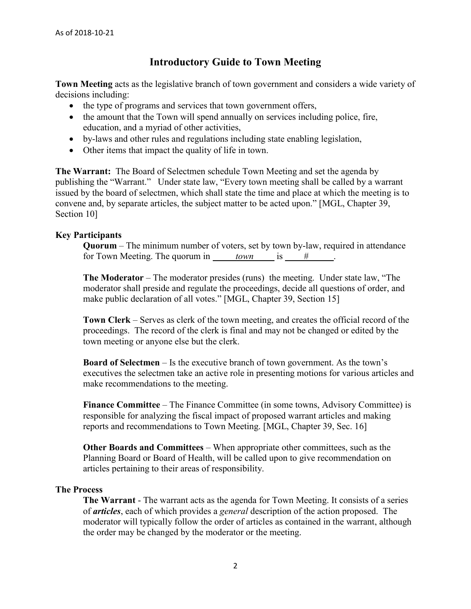# **Introductory Guide to Town Meeting**

<span id="page-1-0"></span>**Town Meeting** acts as the legislative branch of town government and considers a wide variety of decisions including:

- the type of programs and services that town government offers,
- the amount that the Town will spend annually on services including police, fire, education, and a myriad of other activities,
- by-laws and other rules and regulations including state enabling legislation,
- Other items that impact the quality of life in town.

**The Warrant:** The Board of Selectmen schedule Town Meeting and set the agenda by publishing the "Warrant." Under state law, "Every town meeting shall be called by a warrant issued by the board of selectmen, which shall state the time and place at which the meeting is to convene and, by separate articles, the subject matter to be acted upon." [MGL, Chapter 39, Section 10]

## **Key Participants**

**Quorum** – The minimum number of voters, set by town by-law, required in attendance for Town Meeting. The quorum in  $t^2$  *town* is  $\frac{1}{2}$ .

**The Moderator** – The moderator presides (runs) the meeting. Under state law, "The moderator shall preside and regulate the proceedings, decide all questions of order, and make public declaration of all votes." [MGL, Chapter 39, Section 15]

**Town Clerk** – Serves as clerk of the town meeting, and creates the official record of the proceedings. The record of the clerk is final and may not be changed or edited by the town meeting or anyone else but the clerk.

**Board of Selectmen** – Is the executive branch of town government. As the town's executives the selectmen take an active role in presenting motions for various articles and make recommendations to the meeting.

**Finance Committee** – The Finance Committee (in some towns, Advisory Committee) is responsible for analyzing the fiscal impact of proposed warrant articles and making reports and recommendations to Town Meeting. [MGL, Chapter 39, Sec. 16]

**Other Boards and Committees** – When appropriate other committees, such as the Planning Board or Board of Health, will be called upon to give recommendation on articles pertaining to their areas of responsibility.

## **The Process**

**The Warrant** - The warrant acts as the agenda for Town Meeting. It consists of a series of *articles*, each of which provides a *general* description of the action proposed. The moderator will typically follow the order of articles as contained in the warrant, although the order may be changed by the moderator or the meeting.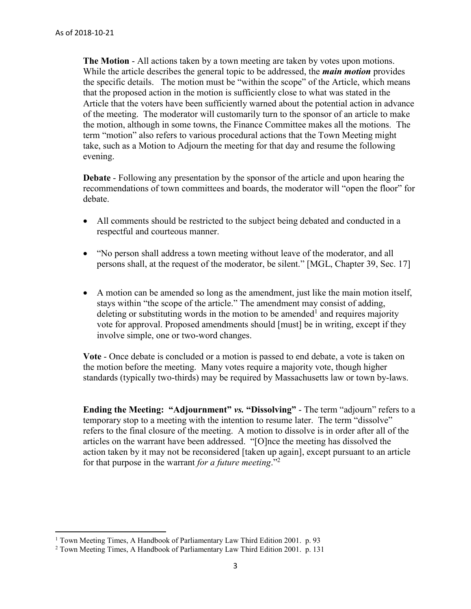$\overline{a}$ 

**The Motion** - All actions taken by a town meeting are taken by votes upon motions. While the article describes the general topic to be addressed, the *main motion* provides the specific details. The motion must be "within the scope" of the Article, which means that the proposed action in the motion is sufficiently close to what was stated in the Article that the voters have been sufficiently warned about the potential action in advance of the meeting. The moderator will customarily turn to the sponsor of an article to make the motion, although in some towns, the Finance Committee makes all the motions. The term "motion" also refers to various procedural actions that the Town Meeting might take, such as a Motion to Adjourn the meeting for that day and resume the following evening.

**Debate** - Following any presentation by the sponsor of the article and upon hearing the recommendations of town committees and boards, the moderator will "open the floor" for debate.

- All comments should be restricted to the subject being debated and conducted in a respectful and courteous manner.
- "No person shall address a town meeting without leave of the moderator, and all persons shall, at the request of the moderator, be silent." [MGL, Chapter 39, Sec. 17]
- A motion can be amended so long as the amendment, just like the main motion itself, stays within "the scope of the article." The amendment may consist of adding, deleting or substituting words in the motion to be amended<sup>1</sup> and requires majority vote for approval. Proposed amendments should [must] be in writing, except if they involve simple, one or two-word changes.

**Vote** - Once debate is concluded or a motion is passed to end debate, a vote is taken on the motion before the meeting. Many votes require a majority vote, though higher standards (typically two-thirds) may be required by Massachusetts law or town by-laws.

**Ending the Meeting: "Adjournment"** *vs.* **"Dissolving"** - The term "adjourn" refers to a temporary stop to a meeting with the intention to resume later. The term "dissolve" refers to the final closure of the meeting. A motion to dissolve is in order after all of the articles on the warrant have been addressed. "[O]nce the meeting has dissolved the action taken by it may not be reconsidered [taken up again], except pursuant to an article for that purpose in the warrant *for a future meeting*."<sup>2</sup>

<sup>&</sup>lt;sup>1</sup> Town Meeting Times, A Handbook of Parliamentary Law Third Edition 2001. p. 93

<sup>&</sup>lt;sup>2</sup> Town Meeting Times, A Handbook of Parliamentary Law Third Edition 2001. p. 131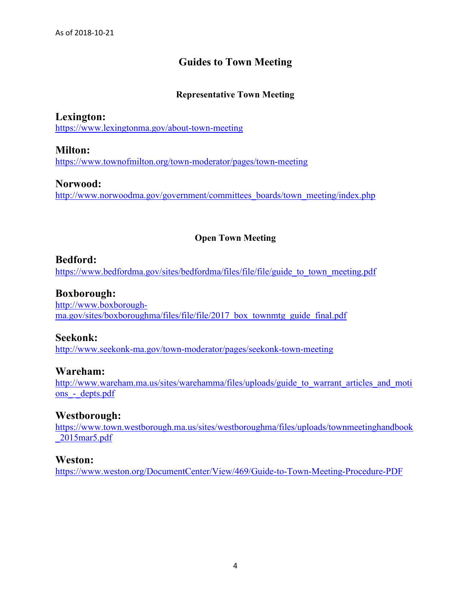# **Guides to Town Meeting**

## **Representative Town Meeting**

<span id="page-3-1"></span><span id="page-3-0"></span>**Lexington:**  <https://www.lexingtonma.gov/about-town-meeting>

**Milton:**  <https://www.townofmilton.org/town-moderator/pages/town-meeting>

**Norwood:**  [http://www.norwoodma.gov/government/committees\\_boards/town\\_meeting/index.php](http://www.norwoodma.gov/government/committees_boards/town_meeting/index.php)

## **Open Town Meeting**

## <span id="page-3-2"></span>**Bedford:**

[https://www.bedfordma.gov/sites/bedfordma/files/file/file/guide\\_to\\_town\\_meeting.pdf](https://www.bedfordma.gov/sites/bedfordma/files/file/file/guide_to_town_meeting.pdf)

## **Boxborough:**

[http://www.boxborough](http://www.boxborough-ma.gov/sites/boxboroughma/files/file/file/2017_box_townmtg_guide_final.pdf)[ma.gov/sites/boxboroughma/files/file/file/2017\\_box\\_townmtg\\_guide\\_final.pdf](http://www.boxborough-ma.gov/sites/boxboroughma/files/file/file/2017_box_townmtg_guide_final.pdf)

**Seekonk:**  <http://www.seekonk-ma.gov/town-moderator/pages/seekonk-town-meeting>

## **Wareham:**

[http://www.wareham.ma.us/sites/warehamma/files/uploads/guide\\_to\\_warrant\\_articles\\_and\\_moti](http://www.wareham.ma.us/sites/warehamma/files/uploads/guide_to_warrant_articles_and_motions_-_depts.pdf) ons - depts.pdf

## **Westborough:**

[https://www.town.westborough.ma.us/sites/westboroughma/files/uploads/townmeetinghandbook](https://www.town.westborough.ma.us/sites/westboroughma/files/uploads/townmeetinghandbook_2015mar5.pdf) [\\_2015mar5.pdf](https://www.town.westborough.ma.us/sites/westboroughma/files/uploads/townmeetinghandbook_2015mar5.pdf)

## **Weston:**

<https://www.weston.org/DocumentCenter/View/469/Guide-to-Town-Meeting-Procedure-PDF>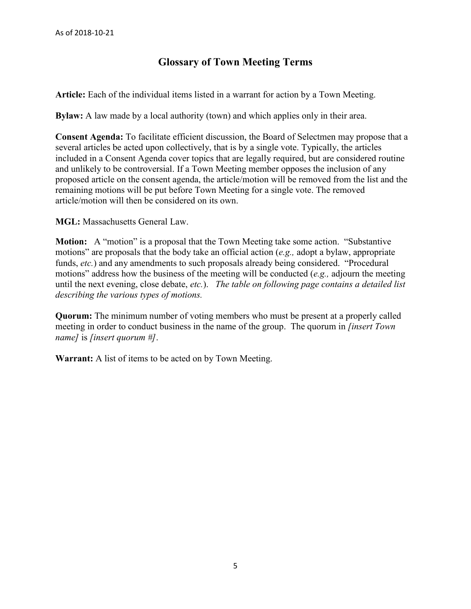# **Glossary of Town Meeting Terms**

<span id="page-4-0"></span>**Article:** Each of the individual items listed in a warrant for action by a Town Meeting.

**Bylaw:** A law made by a local authority (town) and which applies only in their area.

**Consent Agenda:** To facilitate efficient discussion, the Board of Selectmen may propose that a several articles be acted upon collectively, that is by a single vote. Typically, the articles included in a Consent Agenda cover topics that are legally required, but are considered routine and unlikely to be controversial. If a Town Meeting member opposes the inclusion of any proposed article on the consent agenda, the article/motion will be removed from the list and the remaining motions will be put before Town Meeting for a single vote. The removed article/motion will then be considered on its own.

**MGL:** Massachusetts General Law.

**Motion:** A "motion" is a proposal that the Town Meeting take some action. "Substantive motions" are proposals that the body take an official action (*e.g.,* adopt a bylaw, appropriate funds, *etc.*) and any amendments to such proposals already being considered. "Procedural motions" address how the business of the meeting will be conducted (*e.g.,* adjourn the meeting until the next evening, close debate, *etc.*). *The table on following page contains a detailed list describing the various types of motions.* 

**Quorum:** The minimum number of voting members who must be present at a properly called meeting in order to conduct business in the name of the group. The quorum in *[insert Town name]* is *[insert quorum #]*.

**Warrant:** A list of items to be acted on by Town Meeting.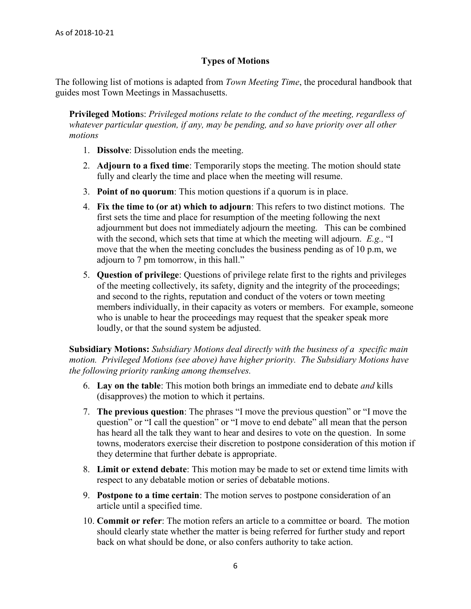## **Types of Motions**

The following list of motions is adapted from *Town Meeting Time*, the procedural handbook that guides most Town Meetings in Massachusetts.

**Privileged Motion**s: *Privileged motions relate to the conduct of the meeting, regardless of whatever particular question, if any, may be pending, and so have priority over all other motions*

- 1. **Dissolve**: Dissolution ends the meeting.
- 2. **Adjourn to a fixed time**: Temporarily stops the meeting. The motion should state fully and clearly the time and place when the meeting will resume.
- 3. **Point of no quorum**: This motion questions if a quorum is in place.
- 4. **Fix the time to (or at) which to adjourn**: This refers to two distinct motions. The first sets the time and place for resumption of the meeting following the next adjournment but does not immediately adjourn the meeting. This can be combined with the second, which sets that time at which the meeting will adjourn. *E.g.,* "I move that the when the meeting concludes the business pending as of 10 p.m, we adjourn to 7 pm tomorrow, in this hall."
- 5. **Question of privilege**: Questions of privilege relate first to the rights and privileges of the meeting collectively, its safety, dignity and the integrity of the proceedings; and second to the rights, reputation and conduct of the voters or town meeting members individually, in their capacity as voters or members. For example, someone who is unable to hear the proceedings may request that the speaker speak more loudly, or that the sound system be adjusted.

**Subsidiary Motions:** *Subsidiary Motions deal directly with the business of a specific main motion. Privileged Motions (see above) have higher priority. The Subsidiary Motions have the following priority ranking among themselves.*

- 6. **Lay on the table**: This motion both brings an immediate end to debate *and* kills (disapproves) the motion to which it pertains.
- 7. **The previous question**: The phrases "I move the previous question" or "I move the question" or "I call the question" or "I move to end debate" all mean that the person has heard all the talk they want to hear and desires to vote on the question. In some towns, moderators exercise their discretion to postpone consideration of this motion if they determine that further debate is appropriate.
- 8. **Limit or extend debate**: This motion may be made to set or extend time limits with respect to any debatable motion or series of debatable motions.
- 9. **Postpone to a time certain**: The motion serves to postpone consideration of an article until a specified time.
- 10. **Commit or refer**: The motion refers an article to a committee or board. The motion should clearly state whether the matter is being referred for further study and report back on what should be done, or also confers authority to take action.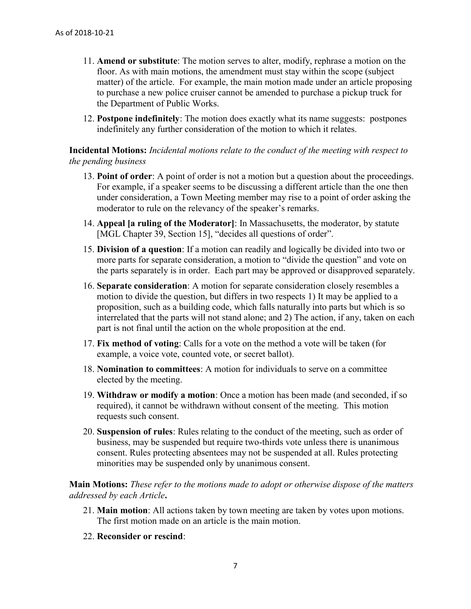- 11. **Amend or substitute**: The motion serves to alter, modify, rephrase a motion on the floor. As with main motions, the amendment must stay within the scope (subject matter) of the article. For example, the main motion made under an article proposing to purchase a new police cruiser cannot be amended to purchase a pickup truck for the Department of Public Works.
- 12. **Postpone indefinitely**: The motion does exactly what its name suggests: postpones indefinitely any further consideration of the motion to which it relates.

**Incidental Motions:** *Incidental motions relate to the conduct of the meeting with respect to the pending business*

- 13. **Point of order**: A point of order is not a motion but a question about the proceedings. For example, if a speaker seems to be discussing a different article than the one then under consideration, a Town Meeting member may rise to a point of order asking the moderator to rule on the relevancy of the speaker's remarks.
- 14. **Appeal [a ruling of the Moderator]**: In Massachusetts, the moderator, by statute [MGL Chapter 39, Section 15], "decides all questions of order".
- 15. **Division of a question**: If a motion can readily and logically be divided into two or more parts for separate consideration, a motion to "divide the question" and vote on the parts separately is in order. Each part may be approved or disapproved separately.
- 16. **Separate consideration**: A motion for separate consideration closely resembles a motion to divide the question, but differs in two respects 1) It may be applied to a proposition, such as a building code, which falls naturally into parts but which is so interrelated that the parts will not stand alone; and 2) The action, if any, taken on each part is not final until the action on the whole proposition at the end.
- 17. **Fix method of voting**: Calls for a vote on the method a vote will be taken (for example, a voice vote, counted vote, or secret ballot).
- 18. **Nomination to committees**: A motion for individuals to serve on a committee elected by the meeting.
- 19. **Withdraw or modify a motion**: Once a motion has been made (and seconded, if so required), it cannot be withdrawn without consent of the meeting. This motion requests such consent.
- 20. **Suspension of rules**: Rules relating to the conduct of the meeting, such as order of business, may be suspended but require two-thirds vote unless there is unanimous consent. Rules protecting absentees may not be suspended at all. Rules protecting minorities may be suspended only by unanimous consent.

**Main Motions:** *These refer to the motions made to adopt or otherwise dispose of the matters addressed by each Article***.** 

- 21. **Main motion**: All actions taken by town meeting are taken by votes upon motions. The first motion made on an article is the main motion.
- 22. **Reconsider or rescind**: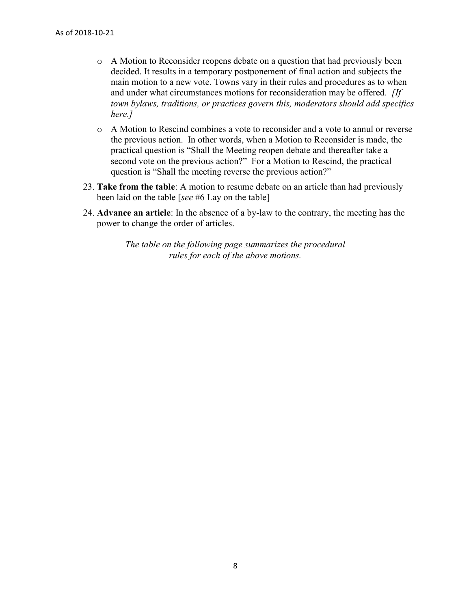- o A Motion to Reconsider reopens debate on a question that had previously been decided. It results in a temporary postponement of final action and subjects the main motion to a new vote. Towns vary in their rules and procedures as to when and under what circumstances motions for reconsideration may be offered. *[If town bylaws, traditions, or practices govern this, moderators should add specifics here.]*
- o A Motion to Rescind combines a vote to reconsider and a vote to annul or reverse the previous action. In other words, when a Motion to Reconsider is made, the practical question is "Shall the Meeting reopen debate and thereafter take a second vote on the previous action?" For a Motion to Rescind, the practical question is "Shall the meeting reverse the previous action?"
- 23. **Take from the table**: A motion to resume debate on an article than had previously been laid on the table [*see* #6 Lay on the table]
- 24. **Advance an article**: In the absence of a by-law to the contrary, the meeting has the power to change the order of articles.

*The table on the following page summarizes the procedural rules for each of the above motions.*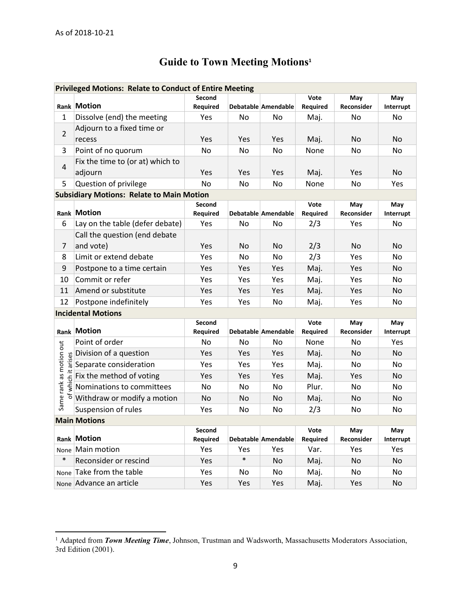$\overline{a}$ 

# **Guide to Town Meeting Motions<sup>1</sup>**

<span id="page-8-0"></span>

| <b>Privileged Motions: Relate to Conduct of Entire Meeting</b> |                                  |                    |            |                     |                  |                   |                  |  |  |
|----------------------------------------------------------------|----------------------------------|--------------------|------------|---------------------|------------------|-------------------|------------------|--|--|
|                                                                |                                  | Second             |            |                     | Vote             | May               | May              |  |  |
|                                                                | Rank Motion                      | <b>Required</b>    |            | Debatable Amendable | Required         | Reconsider        | Interrupt        |  |  |
| $\mathbf{1}$                                                   | Dissolve (end) the meeting       | Yes                | No         | No                  | Maj.             | No                | No               |  |  |
| $\overline{2}$                                                 | Adjourn to a fixed time or       |                    |            |                     |                  |                   |                  |  |  |
|                                                                | recess                           | Yes                | Yes        | Yes                 | Maj.             | No                | N <sub>o</sub>   |  |  |
| 3                                                              | Point of no quorum               | No                 | No.        | No                  | None             | No.               | No               |  |  |
| $\overline{4}$                                                 | Fix the time to (or at) which to |                    |            |                     |                  |                   |                  |  |  |
|                                                                | adjourn                          | Yes                | Yes        | Yes                 | Maj.             | Yes               | <b>No</b>        |  |  |
| 5                                                              | Question of privilege            | No                 | <b>No</b>  | No                  | None             | No                | Yes              |  |  |
| <b>Subsidiary Motions: Relate to Main Motion</b>               |                                  |                    |            |                     |                  |                   |                  |  |  |
|                                                                |                                  | Second             |            |                     | Vote             | May               | May              |  |  |
|                                                                | Rank Motion                      | Required           |            | Debatable Amendable | Required         | Reconsider        | Interrupt        |  |  |
| 6                                                              | Lay on the table (defer debate)  | Yes                | No         | No                  | 2/3              | Yes               | No.              |  |  |
|                                                                | Call the question (end debate    |                    |            |                     |                  |                   |                  |  |  |
| 7                                                              | and vote)                        | Yes                | No.        | No                  | 2/3              | No.               | <b>No</b>        |  |  |
| 8                                                              | Limit or extend debate           | Yes                | No.        | No                  | 2/3              | Yes               | No.              |  |  |
| 9                                                              | Postpone to a time certain       | Yes                | Yes        | Yes                 | Maj.             | Yes               | No               |  |  |
| 10                                                             | Commit or refer                  | Yes                | Yes        | Yes                 | Maj.             | Yes               | No.              |  |  |
| 11                                                             | Amend or substitute              | Yes                | Yes        | Yes                 | Maj.             | Yes               | N <sub>o</sub>   |  |  |
| 12                                                             | Postpone indefinitely            | Yes                | Yes        | No                  | Maj.             | Yes               | No               |  |  |
| <b>Incidental Motions</b>                                      |                                  |                    |            |                     |                  |                   |                  |  |  |
|                                                                |                                  | Second             |            |                     | Vote             | May               | May              |  |  |
|                                                                | <b>Rank Motion</b>               | Required           |            | Debatable Amendable | Required         | Reconsider        | Interrupt        |  |  |
|                                                                | Point of order                   | No                 | No         | No                  | None             | No                | Yes              |  |  |
| which it arises                                                | Division of a question           | Yes                | Yes        | Yes                 | Maj.             | No                | <b>No</b>        |  |  |
|                                                                | Separate consideration           | Yes                | <b>Yes</b> | Yes                 | Maj.             | No.               | No.              |  |  |
|                                                                | Fix the method of voting         | Yes                | Yes        | Yes                 | Maj.             | Yes               | <b>No</b>        |  |  |
|                                                                | Nominations to committees        | No                 | No         | No                  | Plur.            | No                | No.              |  |  |
| Same rank as motion out                                        | Withdraw or modify a motion      | <b>No</b>          | No         | No                  | Maj.             | No                | <b>No</b>        |  |  |
|                                                                | Suspension of rules              | Yes                | No.        | No                  | 2/3              | No                | No.              |  |  |
| <b>Main Motions</b>                                            |                                  |                    |            |                     |                  |                   |                  |  |  |
|                                                                | Rank Motion                      | Second<br>Required |            | Debatable Amendable | Vote<br>Required | May<br>Reconsider | May<br>Interrupt |  |  |
|                                                                | None Main motion                 | Yes                | Yes        | Yes                 | Var.             | Yes               | Yes              |  |  |
| $\ast$                                                         | Reconsider or rescind            | Yes                | $\ast$     | No                  | Maj.             | No                | No               |  |  |
|                                                                | None Take from the table         | Yes                | No         | No                  | Maj.             | No                | No               |  |  |
|                                                                | None Advance an article          | Yes                | Yes        | Yes                 | Maj.             | Yes               | No               |  |  |

<sup>&</sup>lt;sup>1</sup> Adapted from *Town Meeting Time*, Johnson, Trustman and Wadsworth, Massachusetts Moderators Association, 3rd Edition (2001).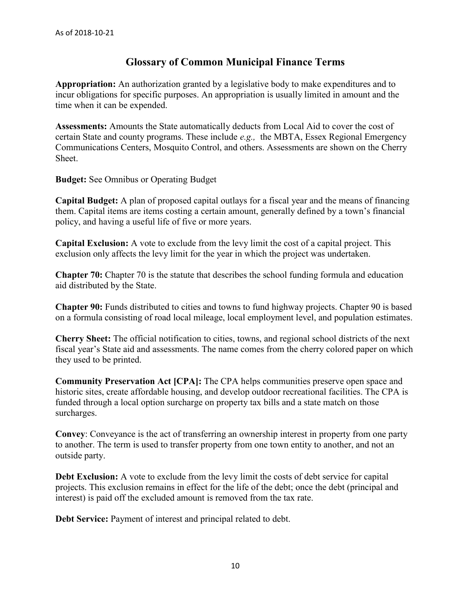# **Glossary of Common Municipal Finance Terms**

<span id="page-9-0"></span>**Appropriation:** An authorization granted by a legislative body to make expenditures and to incur obligations for specific purposes. An appropriation is usually limited in amount and the time when it can be expended.

**Assessments:** Amounts the State automatically deducts from Local Aid to cover the cost of certain State and county programs. These include *e.g.,* the MBTA, Essex Regional Emergency Communications Centers, Mosquito Control, and others. Assessments are shown on the Cherry Sheet.

**Budget:** See Omnibus or Operating Budget

**Capital Budget:** A plan of proposed capital outlays for a fiscal year and the means of financing them. Capital items are items costing a certain amount, generally defined by a town's financial policy, and having a useful life of five or more years.

**Capital Exclusion:** A vote to exclude from the levy limit the cost of a capital project. This exclusion only affects the levy limit for the year in which the project was undertaken.

**Chapter 70:** Chapter 70 is the statute that describes the school funding formula and education aid distributed by the State.

**Chapter 90:** Funds distributed to cities and towns to fund highway projects. Chapter 90 is based on a formula consisting of road local mileage, local employment level, and population estimates.

**Cherry Sheet:** The official notification to cities, towns, and regional school districts of the next fiscal year's State aid and assessments. The name comes from the cherry colored paper on which they used to be printed.

**Community Preservation Act [CPA]:** The CPA helps communities preserve open space and historic sites, create affordable housing, and develop outdoor recreational facilities. The CPA is funded through a local option surcharge on property tax bills and a state match on those surcharges.

**Convey**: Conveyance is the act of transferring an ownership interest in property from one party to another. The term is used to transfer property from one town entity to another, and not an outside party.

**Debt Exclusion:** A vote to exclude from the levy limit the costs of debt service for capital projects. This exclusion remains in effect for the life of the debt; once the debt (principal and interest) is paid off the excluded amount is removed from the tax rate.

**Debt Service:** Payment of interest and principal related to debt.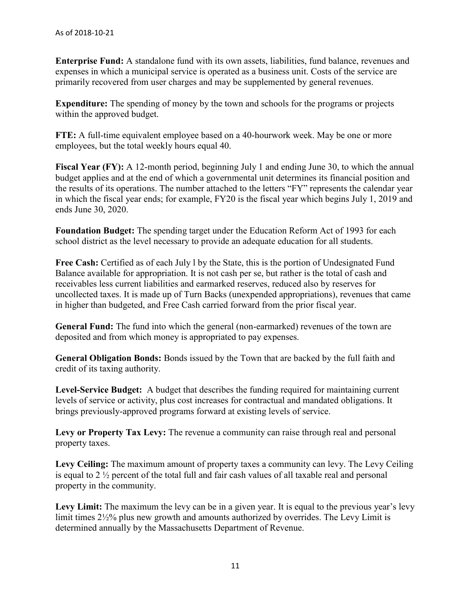**Enterprise Fund:** A standalone fund with its own assets, liabilities, fund balance, revenues and expenses in which a municipal service is operated as a business unit. Costs of the service are primarily recovered from user charges and may be supplemented by general revenues.

**Expenditure:** The spending of money by the town and schools for the programs or projects within the approved budget.

**FTE:** A full-time equivalent employee based on a 40-hourwork week. May be one or more employees, but the total weekly hours equal 40.

**Fiscal Year (FY):** A 12-month period, beginning July 1 and ending June 30, to which the annual budget applies and at the end of which a governmental unit determines its financial position and the results of its operations. The number attached to the letters "FY" represents the calendar year in which the fiscal year ends; for example, FY20 is the fiscal year which begins July 1, 2019 and ends June 30, 2020.

**Foundation Budget:** The spending target under the Education Reform Act of 1993 for each school district as the level necessary to provide an adequate education for all students.

Free Cash: Certified as of each July 1 by the State, this is the portion of Undesignated Fund Balance available for appropriation. It is not cash per se, but rather is the total of cash and receivables less current liabilities and earmarked reserves, reduced also by reserves for uncollected taxes. It is made up of Turn Backs (unexpended appropriations), revenues that came in higher than budgeted, and Free Cash carried forward from the prior fiscal year.

**General Fund:** The fund into which the general (non-earmarked) revenues of the town are deposited and from which money is appropriated to pay expenses.

**General Obligation Bonds:** Bonds issued by the Town that are backed by the full faith and credit of its taxing authority.

**Level-Service Budget:** A budget that describes the funding required for maintaining current levels of service or activity, plus cost increases for contractual and mandated obligations. It brings previously-approved programs forward at existing levels of service.

Levy or Property Tax Levy: The revenue a community can raise through real and personal property taxes.

**Levy Ceiling:** The maximum amount of property taxes a community can levy. The Levy Ceiling is equal to 2 ½ percent of the total full and fair cash values of all taxable real and personal property in the community.

Levy Limit: The maximum the levy can be in a given year. It is equal to the previous year's levy limit times 2½% plus new growth and amounts authorized by overrides. The Levy Limit is determined annually by the Massachusetts Department of Revenue.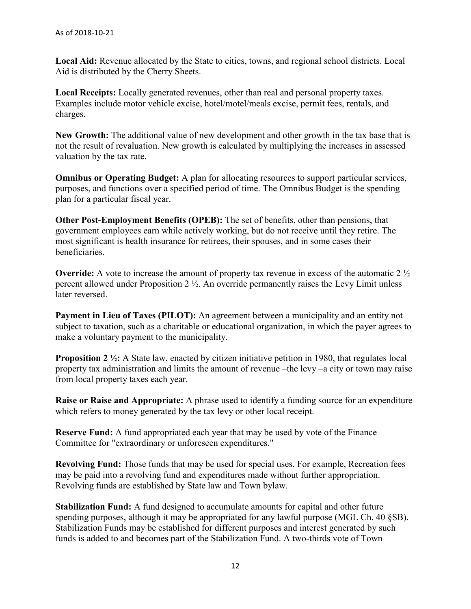**Local Aid:** Revenue allocated by the State to cities, towns, and regional school districts. Local Aid is distributed by the Cherry Sheets.

**Local Receipts:** Locally generated revenues, other than real and personal property taxes. Examples include motor vehicle excise, hotel/motel/meals excise, permit fees, rentals, and charges.

**New Growth:** The additional value of new development and other growth in the tax base that is not the result of revaluation. New growth is calculated by multiplying the increases in assessed valuation by the tax rate.

**Omnibus or Operating Budget:** A plan for allocating resources to support particular services, purposes, and functions over a specified period of time. The Omnibus Budget is the spending plan for a particular fiscal year.

**Other Post-Employment Benefits (OPEB):** The set of benefits, other than pensions, that government employees earn while actively working, but do not receive until they retire. The most significant is health insurance for retirees, their spouses, and in some cases their beneficiaries.

**Override:** A vote to increase the amount of property tax revenue in excess of the automatic 2  $\frac{1}{2}$ percent allowed under Proposition 2 ½. An override permanently raises the Levy Limit unless later reversed.

**Payment in Lieu of Taxes (PILOT):** An agreement between a municipality and an entity not subject to taxation, such as a charitable or educational organization, in which the payer agrees to make a voluntary payment to the municipality.

**Proposition 2 1/2:** A State law, enacted by citizen initiative petition in 1980, that regulates local property tax administration and limits the amount of revenue –the levy –a city or town may raise from local property taxes each year.

**Raise or Raise and Appropriate:** A phrase used to identify a funding source for an expenditure which refers to money generated by the tax levy or other local receipt.

**Reserve Fund:** A fund appropriated each year that may be used by vote of the Finance Committee for "extraordinary or unforeseen expenditures."

**Revolving Fund:** Those funds that may be used for special uses. For example, Recreation fees may be paid into a revolving fund and expenditures made without further appropriation. Revolving funds are established by State law and Town bylaw.

**Stabilization Fund:** A fund designed to accumulate amounts for capital and other future spending purposes, although it may be appropriated for any lawful purpose (MGL Ch. 40 §SB). Stabilization Funds may be established for different purposes and interest generated by such funds is added to and becomes part of the Stabilization Fund. A two-thirds vote of Town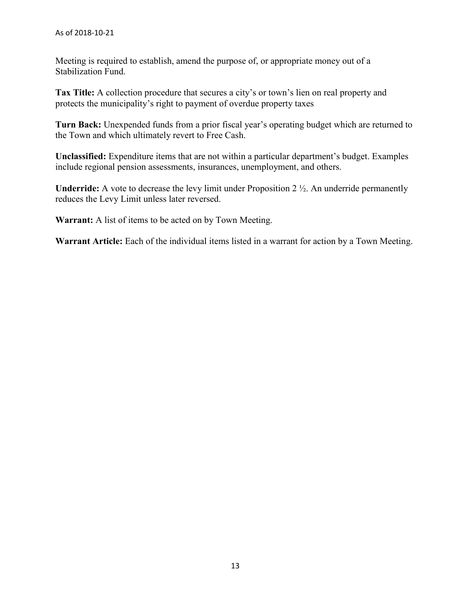Meeting is required to establish, amend the purpose of, or appropriate money out of a Stabilization Fund.

**Tax Title:** A collection procedure that secures a city's or town's lien on real property and protects the municipality's right to payment of overdue property taxes

**Turn Back:** Unexpended funds from a prior fiscal year's operating budget which are returned to the Town and which ultimately revert to Free Cash.

**Unclassified:** Expenditure items that are not within a particular department's budget. Examples include regional pension assessments, insurances, unemployment, and others.

**Underride:** A vote to decrease the levy limit under Proposition 2 ½. An underride permanently reduces the Levy Limit unless later reversed.

**Warrant:** A list of items to be acted on by Town Meeting.

**Warrant Article:** Each of the individual items listed in a warrant for action by a Town Meeting.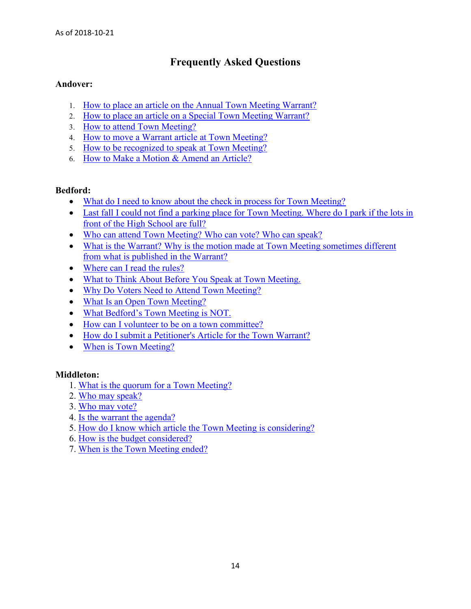# **Frequently Asked Questions**

## <span id="page-13-0"></span>**Andover:**

- 1. [How to place an article on the Annual Town Meeting Warrant?](https://andoverma.gov/Faq.aspx?QID=196)
- 2. [How to place an article on a Special Town Meeting Warrant?](https://andoverma.gov/Faq.aspx?QID=197)
- 3. [How to attend Town Meeting?](https://andoverma.gov/Faq.aspx?QID=198)
- 4. [How to move a Warrant article at Town Meeting?](https://andoverma.gov/Faq.aspx?QID=199)
- 5. [How to be recognized to speak at Town Meeting?](https://andoverma.gov/Faq.aspx?QID=200)
- 6. [How to Make a Motion & Amend an Article?](https://andoverma.gov/Faq.aspx?QID=201)

## **Bedford:**

- What do I need to know about the check in process for Town Meeting?
- Last fall I could not find a parking place for Town Meeting. Where do I park if the lots in [front of the High School are full?](https://www.bedfordma.gov/town-manager/town-meeting/faq/last-fall-i-could-not-find-a-parking-place-for-town-meeting-where-do-i)
- Who can attend Town Meeting? Who can vote? Who can speak?
- What is the Warrant? Why is the motion made at Town Meeting sometimes different [from what is published in the Warrant?](https://www.bedfordma.gov/town-manager/town-meeting/faq/what-is-the-warrant-why-is-the-motion-made-at-town-meeting-sometimes)
- Where can I read the rules?
- What to Think About Before You Speak at Town Meeting.
- Why Do Voters Need to Attend Town Meeting?
- What Is an Open Town Meeting?
- [What Bedford's Town](https://www.bedfordma.gov/town-manager/town-meeting/faq/what-bedfords-town-meeting-is-not) Meeting is NOT.
- How can I volunteer to be on a town committee?
- [How do I submit a Petitioner's Article for the Town Warrant?](https://www.bedfordma.gov/town-manager/town-meeting/faq/how-do-i-submit-a-petitioners-article-for-the-town-warrant)
- When is Town Meeting?

## **Middleton:**

- 1. [What is the quorum for a Town Meeting?](http://middletonma.gov/FAQ.aspx?TID=26)
- 2. [Who may speak?](http://middletonma.gov/FAQ.aspx?TID=26)
- 3. [Who may vote?](http://middletonma.gov/FAQ.aspx?TID=26)
- 4. [Is the warrant the agenda?](http://middletonma.gov/FAQ.aspx?TID=26)
- 5. [How do I know which article the Town Meeting is considering?](http://middletonma.gov/FAQ.aspx?TID=26)
- 6. [How is the budget considered?](http://middletonma.gov/FAQ.aspx?TID=26)
- 7. [When is the Town Meeting ended?](http://middletonma.gov/FAQ.aspx?TID=26)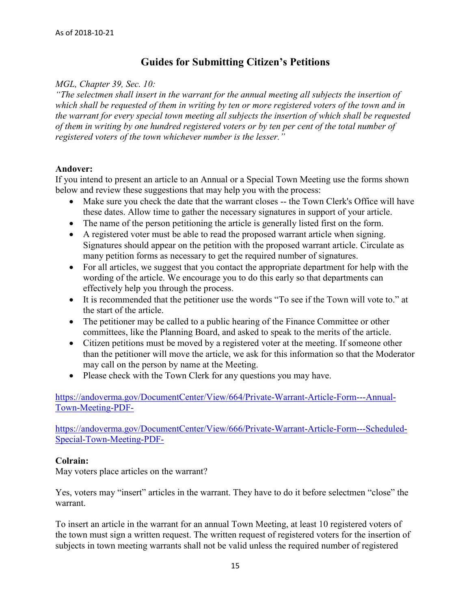# **Guides for Submitting Citizen's Petitions**

### <span id="page-14-0"></span>*MGL, Chapter 39, Sec. 10:*

*"The selectmen shall insert in the warrant for the annual meeting all subjects the insertion of which shall be requested of them in writing by ten or more registered voters of the town and in the warrant for every special town meeting all subjects the insertion of which shall be requested of them in writing by one hundred registered voters or by ten per cent of the total number of registered voters of the town whichever number is the lesser."*

#### **Andover:**

If you intend to present an article to an Annual or a Special Town Meeting use the forms shown below and review these suggestions that may help you with the process:

- Make sure you check the date that the warrant closes -- the Town Clerk's Office will have these dates. Allow time to gather the necessary signatures in support of your article.
- The name of the person petitioning the article is generally listed first on the form.
- A registered voter must be able to read the proposed warrant article when signing. Signatures should appear on the petition with the proposed warrant article. Circulate as many petition forms as necessary to get the required number of signatures.
- For all articles, we suggest that you contact the appropriate department for help with the wording of the article. We encourage you to do this early so that departments can effectively help you through the process.
- It is recommended that the petitioner use the words "To see if the Town will vote to." at the start of the article.
- The petitioner may be called to a public hearing of the Finance Committee or other committees, like the Planning Board, and asked to speak to the merits of the article.
- Citizen petitions must be moved by a registered voter at the meeting. If someone other than the petitioner will move the article, we ask for this information so that the Moderator may call on the person by name at the Meeting.
- Please check with the Town Clerk for any questions you may have.

[https://andoverma.gov/DocumentCenter/View/664/Private-Warrant-Article-Form---Annual-](https://andoverma.gov/DocumentCenter/View/664/Private-Warrant-Article-Form---Annual-Town-Meeting-PDF-)[Town-Meeting-PDF-](https://andoverma.gov/DocumentCenter/View/664/Private-Warrant-Article-Form---Annual-Town-Meeting-PDF-)

[https://andoverma.gov/DocumentCenter/View/666/Private-Warrant-Article-Form---Scheduled-](https://andoverma.gov/DocumentCenter/View/666/Private-Warrant-Article-Form---Scheduled-Special-Town-Meeting-PDF-)[Special-Town-Meeting-PDF-](https://andoverma.gov/DocumentCenter/View/666/Private-Warrant-Article-Form---Scheduled-Special-Town-Meeting-PDF-)

## **Colrain:**

May voters place articles on the warrant?

Yes, voters may "insert" articles in the warrant. They have to do it before selectmen "close" the warrant.

To insert an article in the warrant for an annual Town Meeting, at least 10 registered voters of the town must sign a written request. The written request of registered voters for the insertion of subjects in town meeting warrants shall not be valid unless the required number of registered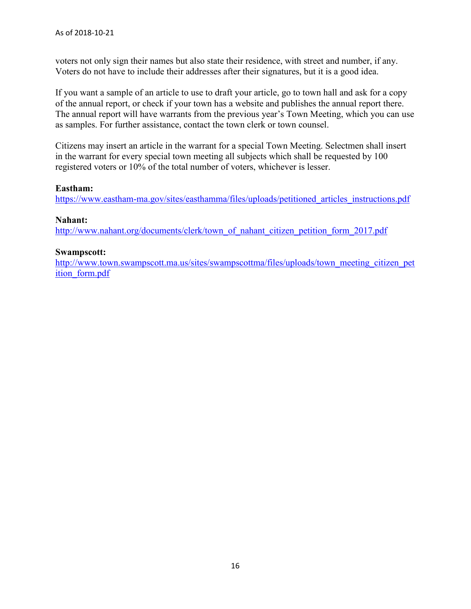voters not only sign their names but also state their residence, with street and number, if any. Voters do not have to include their addresses after their signatures, but it is a good idea.

If you want a sample of an article to use to draft your article, go to town hall and ask for a copy of the annual report, or check if your town has a website and publishes the annual report there. The annual report will have warrants from the previous year's Town Meeting, which you can use as samples. For further assistance, contact the town clerk or town counsel.

Citizens may insert an article in the warrant for a special Town Meeting. Selectmen shall insert in the warrant for every special town meeting all subjects which shall be requested by 100 registered voters or 10% of the total number of voters, whichever is lesser.

## **Eastham:**

[https://www.eastham-ma.gov/sites/easthamma/files/uploads/petitioned\\_articles\\_instructions.pdf](https://www.eastham-ma.gov/sites/easthamma/files/uploads/petitioned_articles_instructions.pdf)

## **Nahant:**

[http://www.nahant.org/documents/clerk/town\\_of\\_nahant\\_citizen\\_petition\\_form\\_2017.pdf](http://www.nahant.org/documents/clerk/town_of_nahant_citizen_petition_form_2017.pdf)

## **Swampscott:**

[http://www.town.swampscott.ma.us/sites/swampscottma/files/uploads/town\\_meeting\\_citizen\\_pet](http://www.town.swampscott.ma.us/sites/swampscottma/files/uploads/town_meeting_citizen_petition_form.pdf) ition form.pdf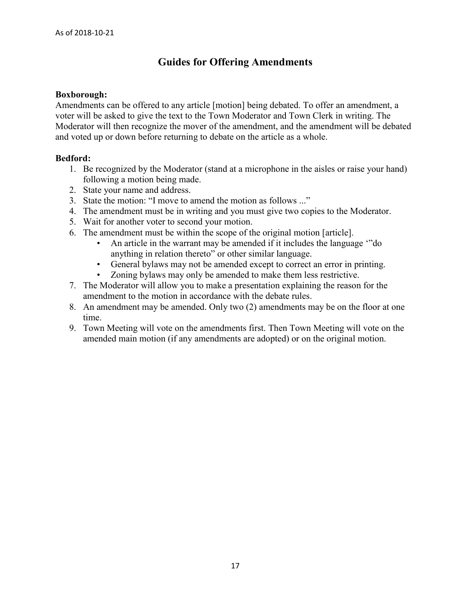# **Guides for Offering Amendments**

#### <span id="page-16-0"></span>**Boxborough:**

Amendments can be offered to any article [motion] being debated. To offer an amendment, a voter will be asked to give the text to the Town Moderator and Town Clerk in writing. The Moderator will then recognize the mover of the amendment, and the amendment will be debated and voted up or down before returning to debate on the article as a whole.

## **Bedford:**

- 1. Be recognized by the Moderator (stand at a microphone in the aisles or raise your hand) following a motion being made.
- 2. State your name and address.
- 3. State the motion: "I move to amend the motion as follows ..."
- 4. The amendment must be in writing and you must give two copies to the Moderator.
- 5. Wait for another voter to second your motion.
- 6. The amendment must be within the scope of the original motion [article].
	- An article in the warrant may be amended if it includes the language '"do anything in relation thereto" or other similar language.
	- General bylaws may not be amended except to correct an error in printing.
	- Zoning bylaws may only be amended to make them less restrictive.
- 7. The Moderator will allow you to make a presentation explaining the reason for the amendment to the motion in accordance with the debate rules.
- 8. An amendment may be amended. Only two (2) amendments may be on the floor at one time.
- 9. Town Meeting will vote on the amendments first. Then Town Meeting will vote on the amended main motion (if any amendments are adopted) or on the original motion.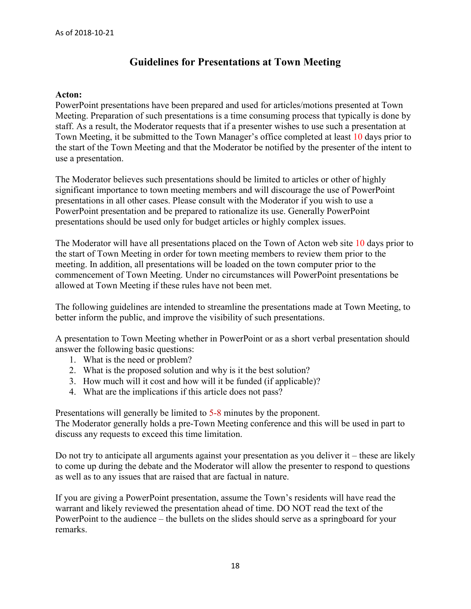# **Guidelines for Presentations at Town Meeting**

#### <span id="page-17-0"></span>**Acton:**

PowerPoint presentations have been prepared and used for articles/motions presented at Town Meeting. Preparation of such presentations is a time consuming process that typically is done by staff. As a result, the Moderator requests that if a presenter wishes to use such a presentation at Town Meeting, it be submitted to the Town Manager's office completed at least 10 days prior to the start of the Town Meeting and that the Moderator be notified by the presenter of the intent to use a presentation.

The Moderator believes such presentations should be limited to articles or other of highly significant importance to town meeting members and will discourage the use of PowerPoint presentations in all other cases. Please consult with the Moderator if you wish to use a PowerPoint presentation and be prepared to rationalize its use. Generally PowerPoint presentations should be used only for budget articles or highly complex issues.

The Moderator will have all presentations placed on the Town of Acton web site 10 days prior to the start of Town Meeting in order for town meeting members to review them prior to the meeting. In addition, all presentations will be loaded on the town computer prior to the commencement of Town Meeting. Under no circumstances will PowerPoint presentations be allowed at Town Meeting if these rules have not been met.

The following guidelines are intended to streamline the presentations made at Town Meeting, to better inform the public, and improve the visibility of such presentations.

A presentation to Town Meeting whether in PowerPoint or as a short verbal presentation should answer the following basic questions:

- 1. What is the need or problem?
- 2. What is the proposed solution and why is it the best solution?
- 3. How much will it cost and how will it be funded (if applicable)?
- 4. What are the implications if this article does not pass?

Presentations will generally be limited to 5-8 minutes by the proponent. The Moderator generally holds a pre-Town Meeting conference and this will be used in part to discuss any requests to exceed this time limitation.

Do not try to anticipate all arguments against your presentation as you deliver it – these are likely to come up during the debate and the Moderator will allow the presenter to respond to questions as well as to any issues that are raised that are factual in nature.

If you are giving a PowerPoint presentation, assume the Town's residents will have read the warrant and likely reviewed the presentation ahead of time. DO NOT read the text of the PowerPoint to the audience – the bullets on the slides should serve as a springboard for your remarks.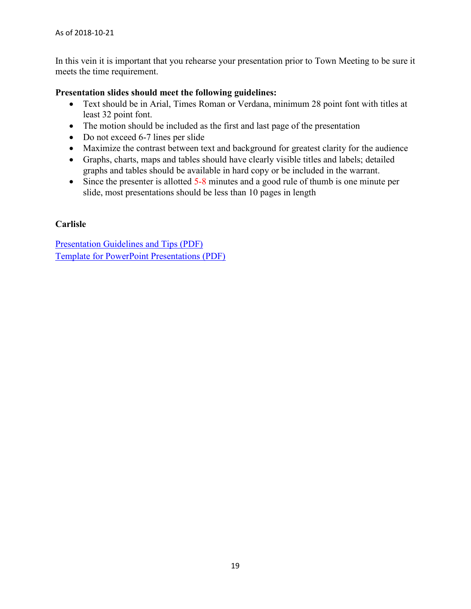In this vein it is important that you rehearse your presentation prior to Town Meeting to be sure it meets the time requirement.

## **Presentation slides should meet the following guidelines:**

- Text should be in Arial, Times Roman or Verdana, minimum 28 point font with titles at least 32 point font.
- The motion should be included as the first and last page of the presentation
- Do not exceed 6-7 lines per slide
- Maximize the contrast between text and background for greatest clarity for the audience
- Graphs, charts, maps and tables should have clearly visible titles and labels; detailed graphs and tables should be available in hard copy or be included in the warrant.
- Since the presenter is allotted  $5-8$  minutes and a good rule of thumb is one minute per slide, most presentations should be less than 10 pages in length

## **Carlisle**

[Presentation Guidelines and Tips \(PDF\)](http://www.carlislema.gov/DocumentCenter/View/101) [Template for PowerPoint Presentations \(PDF\)](http://www.carlislema.gov/DocumentCenter/View/108)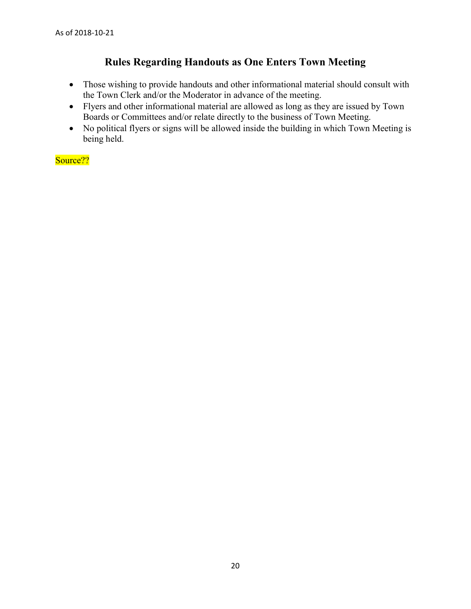# **Rules Regarding Handouts as One Enters Town Meeting**

- <span id="page-19-0"></span>• Those wishing to provide handouts and other informational material should consult with the Town Clerk and/or the Moderator in advance of the meeting.
- Flyers and other informational material are allowed as long as they are issued by Town Boards or Committees and/or relate directly to the business of Town Meeting.
- No political flyers or signs will be allowed inside the building in which Town Meeting is being held.

Source??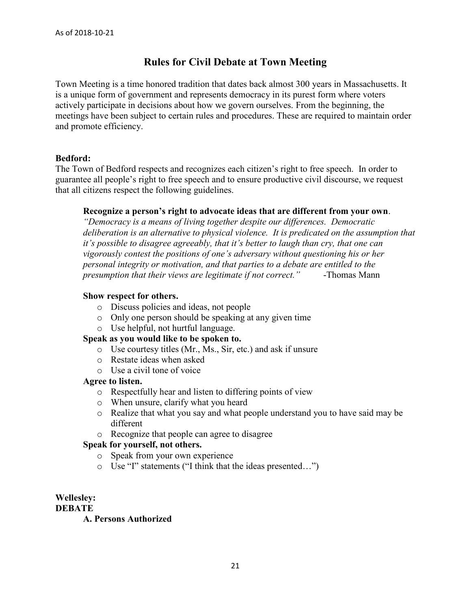# **Rules for Civil Debate at Town Meeting**

<span id="page-20-0"></span>Town Meeting is a time honored tradition that dates back almost 300 years in Massachusetts. It is a unique form of government and represents democracy in its purest form where voters actively participate in decisions about how we govern ourselves. From the beginning, the meetings have been subject to certain rules and procedures. These are required to maintain order and promote efficiency.

## **Bedford:**

The Town of Bedford respects and recognizes each citizen's right to free speech. In order to guarantee all people's right to free speech and to ensure productive civil discourse, we request that all citizens respect the following guidelines.

## **Recognize a person's right to advocate ideas that are different from your own**.

*"Democracy is a means of living together despite our differences. Democratic deliberation is an alternative to physical violence. It is predicated on the assumption that it's possible to disagree agreeably, that it's better to laugh than cry, that one can vigorously contest the positions of one's adversary without questioning his or her personal integrity or motivation, and that parties to a debate are entitled to the presumption that their views are legitimate if not correct."* -Thomas Mann

## **Show respect for others.**

- o Discuss policies and ideas, not people
- o Only one person should be speaking at any given time
- o Use helpful, not hurtful language.

## **Speak as you would like to be spoken to.**

- o Use courtesy titles (Mr., Ms., Sir, etc.) and ask if unsure
- o Restate ideas when asked
- o Use a civil tone of voice

## **Agree to listen.**

- o Respectfully hear and listen to differing points of view
- o When unsure, clarify what you heard
- o Realize that what you say and what people understand you to have said may be different
- o Recognize that people can agree to disagree

## **Speak for yourself, not others.**

- o Speak from your own experience
- o Use "I" statements ("I think that the ideas presented…")

#### **Wellesley: DEBATE**

## **A. Persons Authorized**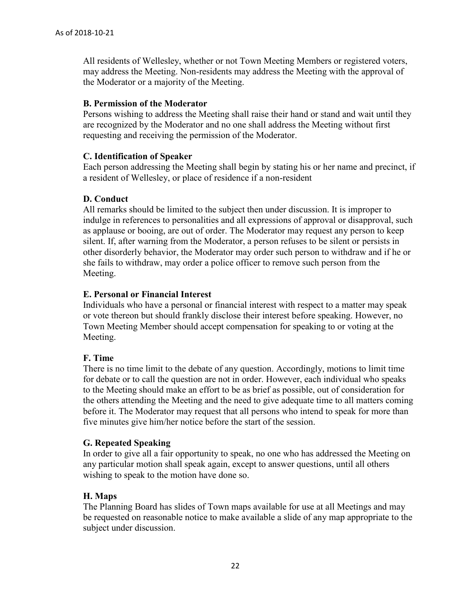All residents of Wellesley, whether or not Town Meeting Members or registered voters, may address the Meeting. Non-residents may address the Meeting with the approval of the Moderator or a majority of the Meeting.

## **B. Permission of the Moderator**

Persons wishing to address the Meeting shall raise their hand or stand and wait until they are recognized by the Moderator and no one shall address the Meeting without first requesting and receiving the permission of the Moderator.

## **C. Identification of Speaker**

Each person addressing the Meeting shall begin by stating his or her name and precinct, if a resident of Wellesley, or place of residence if a non-resident

## **D. Conduct**

All remarks should be limited to the subject then under discussion. It is improper to indulge in references to personalities and all expressions of approval or disapproval, such as applause or booing, are out of order. The Moderator may request any person to keep silent. If, after warning from the Moderator, a person refuses to be silent or persists in other disorderly behavior, the Moderator may order such person to withdraw and if he or she fails to withdraw, may order a police officer to remove such person from the Meeting.

## **E. Personal or Financial Interest**

Individuals who have a personal or financial interest with respect to a matter may speak or vote thereon but should frankly disclose their interest before speaking. However, no Town Meeting Member should accept compensation for speaking to or voting at the Meeting.

## **F. Time**

There is no time limit to the debate of any question. Accordingly, motions to limit time for debate or to call the question are not in order. However, each individual who speaks to the Meeting should make an effort to be as brief as possible, out of consideration for the others attending the Meeting and the need to give adequate time to all matters coming before it. The Moderator may request that all persons who intend to speak for more than five minutes give him/her notice before the start of the session.

## **G. Repeated Speaking**

In order to give all a fair opportunity to speak, no one who has addressed the Meeting on any particular motion shall speak again, except to answer questions, until all others wishing to speak to the motion have done so.

## **H. Maps**

The Planning Board has slides of Town maps available for use at all Meetings and may be requested on reasonable notice to make available a slide of any map appropriate to the subject under discussion.